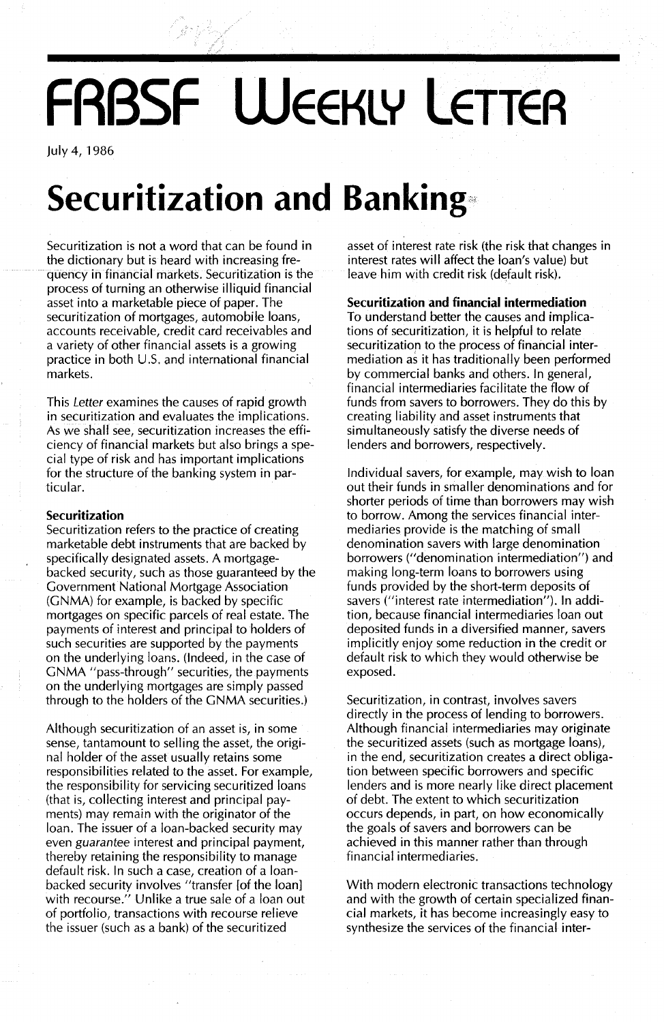# **FR8SF WEEKLY lETTER**

July 4, 1986

## **Securitization and Banking:**

Securitization is not a word that can be found in the dictionary but is heard with increasing frequency in financial markets. Securitization is the process of turning an otherwise illiquid financial asset into a marketable piece of paper. The securitization of mortgages, automobile loans, accounts receivable, credit card receivables and a variety of other financial assets is a growing practice in both U.S. and international financial markets.

This Letter examines the causes of rapid growth in securitization and evaluates the implications. As we shall see, securitization increases the efficiency of financial markets but also brings a special type of risk and has important implications for the structure of the banking system in particular.

### **Securitization**

Securitization refers to the practice of creating marketable debt instruments that are backed by specifically designated assets. A mortgagebacked security, such as those guaranteed by the Government National Mortgage Association (GNMA) for example, is backed by specific mortgages on specific parcels of real estate. The payments of interest and principal to holders of such securities are supported by the payments on the underlying loans. (Indeed, in the case of GNMA "pass-through" securities, the payments on the underlying mortgages are simply passed through to the holders of the GNMA securities.)

Although securitization of an asset is, in some sense, tantamount to selling the asset, the original holder of the asset usually retains some responsibilities related to the asset. For example, the responsibility for servicing securitized loans (that is, collecting interest and principal payments) may remain with the originator of the loan. The issuer of a loan-backed security may even guarantee interest and principal payment, thereby retaining the responsibility to manage default risk. In such a case, creation of a loanbacked security involves "transfer [of the loan] with recourse." Unlike a true sale of a loan out of portfolio, transactions with recourse relieve the issuer (such as a bank) of the securitized

asset of interest rate risk (the risk that changes in interest rates will affect the loan's value) but leave him with credit risk (default risk).

#### **Securitization and financial intermediation**

To understand better the causes and implications of securitization, it is helpful to relate securitization to the process of financial intermediation as it has traditionally been performed by commercial banks and others. In general, financial intermediaries facilitate the flow of funds from savers to borrowers. They do this by creating liability and asset instruments that simultaneously satisfy the diverse needs of lenders and borrowers, respectively.

Individual savers, for example, may wish to loan out their funds in smaller denominations and for shorter periods of time than borrowers may wish to borrow. Among the services financial intermediaries provide is the matching of small denomination savers with large denomination borrowers ("denomination intermediation") and making long-term loans to borrowers using funds provided by the short-term deposits of savers ("interest rate intermediation"). In addition, because financial intermediaries loan out deposited funds in a diversified manner, savers implicitly enjoy some reduction in the credit or default risk to which they would otherwise be exposed.

Securitization, in contrast, involves savers directly in the process of lending to borrowers. Although financial intermediaries may originate the securitized assets (such as mortgage loans), in the end, securitization creates a direct obligation between specific borrowers and specific lenders and is more nearly like direct placement of debt. The extent to which securitization occurs depends, in part, on how economically the goals of savers and borrowers can be achieved in this manner rather than through financial intermediaries.

With modern electronic transactions technology and with the growth of certain specialized financial markets, it has become increasingly easy to synthesize the services of the financial inter-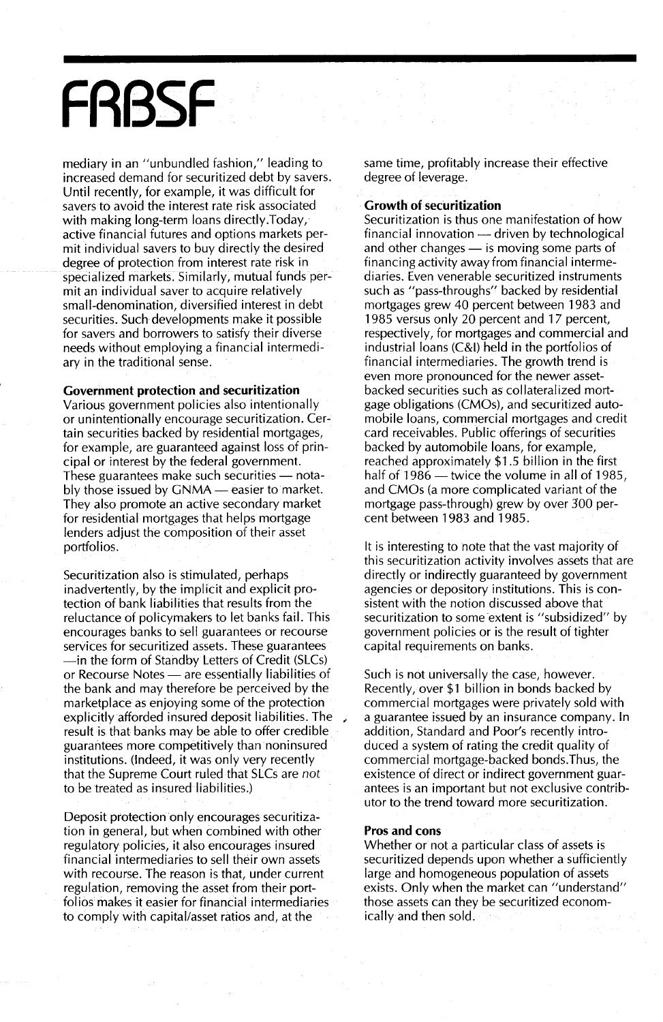## **FRBSF**

mediary in an "unbundled fashion," leading to increased demand for securitized debt by savers. Until recently, for example, it was difficult for savers to avoid the interest rate risk associated with making long-term loans directly.Today, active financial futures and options markets permit individual savers to buy directly the desired degree of protection from interest rate risk in specialized markets. Similarly, mutual funds permit an individual saver to acquire relatively small-denomination, diversified interest in debt securities. Such developments make it possible for savers and borrowers to satisfy their diverse needs without employing a financial intermediary in the traditional sense.

#### **Government protection and securitization**

Various government policies also intentionally or unintentionally encourage securitization. Certain securities backed by residential mortgages, for example, are guaranteed against loss of principal or interest by the federal government. These guarantees make such securities  $-$  notably those issued by GNMA - easier to market. They also promote an active secondary market for residential mortgages that helps mortgage lenders adjust the composition of their asset portfolios.

Securitization also is stimulated, perhaps inadvertently, by the implicit and explicit pro· tection of bank liabilities that results from the reluctance of policymakers to let banks fail. This encourages banks to sell guarantees or recourse services for securitized assets. These guarantees -in the form of Standby Letters of Credit (SLCs) or Recourse Notes - are essentially liabilities of the bank and may therefore be perceived by the marketplace as enjoying some of the protection explicitly afforded insured deposit liabilities. The result is that banks may be able to offer credible guarantees more competitively than noninsured institutions. (Indeed, it was only very recently that the Supreme Court ruled that SLCs are *not* to be treated as insured liabilities.)

Deposit protection only encourages securitization in general, but when combined with other regulatory policies, it also encourages insured financial intermediaries to sell their own assets with recourse. The reason is that, under current regulation, removing the asset from their portfolios makes it easier for financial intermediaries to comply with capital/asset ratios and, at the

same time, profitably increase their effective degree of leverage.

#### **Growth of securitization**

Securitization is thus one manifestation of how financial innovation - driven by technological and other changes - is moving some parts of financing activity away from financial intermediaries. Even venerable securitized instruments such as "pass-throughs" backed by residential mortgages grew 40 percent between 1983 and 1985 versus only 20 percent and 17 percent, respectively, for mortgages and commercial and industrial loans (C&I) held in the portfolios of financial intermediaries. The growth trend is even more pronounced for the newer assetbacked securities such as collateralized mortgage obligations (CMOs), and securitized automobile loans, commercial mortgages and credit card receivables. Public offerings of securities backed by automobile loans, for example, reached approximately \$1.5 billion in the first half of  $1986$  — twice the volume in all of  $1985$ , and CMOs (a more complicated variant of the mortgage pass-through) grew by over 300 percent between 1983 and 1985.

It is interesting to note that the vast majority of this securitization activity involves assets that are directly or indirectly guaranteed by government agencies or depository institutions. This is consistent with the notion discussed above that securitization to some extent is "subsidized" by government policies or is the result of tighter capital requirements on banks.

Such is not universally the case, however. Recently, over \$1 billion in bonds backed by commercial mortgages were privately sold with a guarantee issued by an insurance company. In addition, Standard and Poor's recently introduced a system of rating the credit quality of commercial mortgage-backed bonds.Thus, the existence of direct or indirect government guarantees is an important but not exclusive contributor to the trend toward more securitization.

#### **Pros and cons**

Whether or not a particular class of assets is securitized depends upon whether a sufficiently large and homogeneous population of assets exists. Only when the market can "understand" those assets can they be securitized economically and then sold.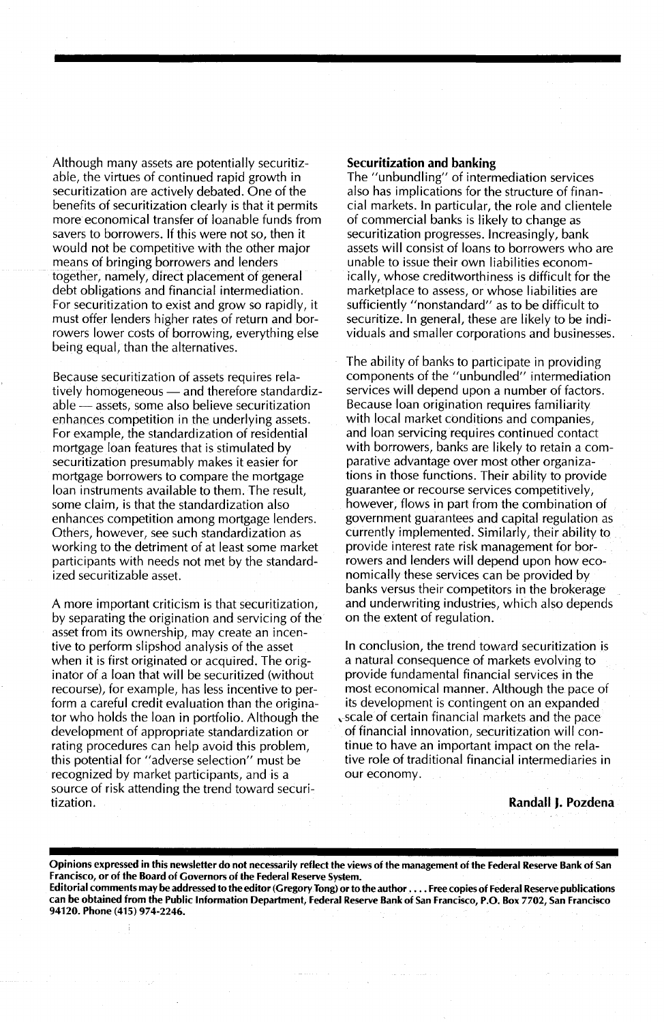Although many assets are potentially securitizable, the virtues of continued rapid growth in securitization are actively debated. One of the benefits of securitization clearly is that it permits more economical transfer of loanable funds from savers to borrowers. If this were not so, then it would not be competitive with the other major means of bringing borrowers and lenders together, namely, direct placement of general debt obligations and financial intermediation. For securitization to exist and grow so rapidly, it must offer lenders higher rates of return and borrowers lower costs of borrowing, everything else being equal, than the alternatives.

Because securitization of assets requires relatively homogeneous — and therefore standardizable - assets, some also believe securitization enhances competition in the underlying assets. For example, the standardization of residential mortgage loan features that is stimulated by securitization presumably makes it easier for mortgage borrowers to compare the mortgage loan instruments available to them. The result, some claim, is that the standardization also enhances competition among mortgage lenders. Others, however, see such standardization as working to the detriment of at least some market participants with needs not met by the standardized securitizable asset.

A more important criticism is that securitization, by separating the origination and servicing of the asset from its ownership, may create an incentive to perform slipshod analysis of the asset when it is first originated or acquired. The originator of a loan that will be securitized (without recourse), for example, has less incentive to perform a careful credit evaluation than the originator who holds the loan in portfolio. Although the development of appropriate standardization or rating procedures can help avoid this problem, this potential for "adverse selection" must be recognized by market participants, and is a source of risk attending the trend toward securitization.

94120. Phone (415) 974-2246.

#### Securitization and banking

The "unbundling" of intermediation services also has implications for the structure of financial markets. In particular, the role and clientele of commercial banks is likely to change as securitization progresses. Increasingly, bank assets will consist of loans to borrowers who are unable to issue their own liabilities economically, whose creditworthiness is difficult for the marketplace to assess, or whose liabilities are sufficiently "nonstandard" as to be difficult to securitize. In general, these are likely to be individuals and smaller corporations and businesses.

The ability of banks to participate in providing components of the "unbundled" intermediation services will depend upon a number of factors. Because loan origination requires familiarity with local market conditions and companies, and loan servicing requires continued contact with borrowers, banks are likely to retain a comparative advantage over most other organizations in those functions. Their ability to provide guarantee or recourse services competitively, however, flows in part from the combination of government guarantees and capital regulation as currently implemented. Similarly, their ability to provide interest rate risk management for borrowers and lenders will depend upon how economically these services can be provided by banks versus their competitors in the brokerage and underwriting industries, which also depends on the extent of regulation.

In conclusion, the trend toward securitization is a natural consequence of markets evolving to provide fundamental financial services in the most economical manner. Although the pace of its development is contingent on an expanded ,scale of certain financial markets and the pace of financial innovation, securitization will continue to have an important impact on the relative role of traditional financial intermediaries in our economy.

#### Randall J. Pozdena

Opinions expressed in this newsletter do not necessarily reflect the views of the management of the Federal Reserve Bank of San Francisco, or of the Board of Governors of the Federal Reserve System. Editorial comments may be addressed to the editor (Gregory Tong) orto the author .... Free copies of Federal Reserve publications can be obtained from the Public Information Department, Federal Reserve Bank of San Francisco, P.O. Box 7702, San Francisco